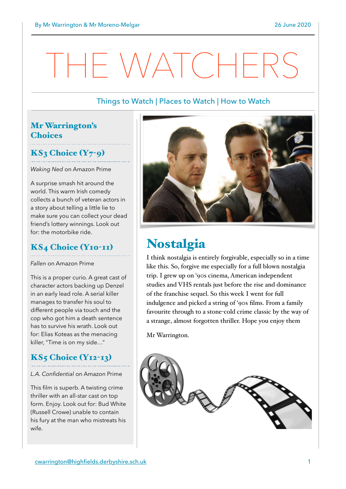## HE WATCHERS

#### Things to Watch | Places to Watch | How to Watch

## Mr Warrington's **Choices**

### $KS<sub>3</sub> Choice (Y<sub>7</sub>-<sub>9</sub>)$

*Waking Ned* on Amazon Prime

A surprise smash hit around the world. This warm Irish comedy collects a bunch of veteran actors in a story about telling a little lie to make sure you can collect your dead friend's lottery winnings. Look out for: the motorbike ride.

### KS4 Choice (Y10-11)

*Fallen* on Amazon Prime

This is a proper curio. A great cast of character actors backing up Denzel in an early lead role. A serial killer manages to transfer his soul to different people via touch and the cop who got him a death sentence has to survive his wrath. Look out for: Elias Koteas as the menacing killer, "Time is on my side…"

## **KS5 Choice (Y12-13)**

*L.A. Confidential* on Amazon Prime

This film is superb. A twisting crime thriller with an all-star cast on top form. Enjoy. Look out for: Bud White (Russell Crowe) unable to contain his fury at the man who mistreats his wife.



## Nostalgia

I think nostalgia is entirely forgivable, especially so in a time like this. So, forgive me especially for a full blown nostalgia trip. I grew up on '90s cinema, American independent studies and VHS rentals just before the rise and dominance of the franchise sequel. So this week I went for full indulgence and picked a string of '90s films. From a family favourite through to a stone-cold crime classic by the way of a strange, almost forgotten thriller. Hope you enjoy them

Mr Warrington.